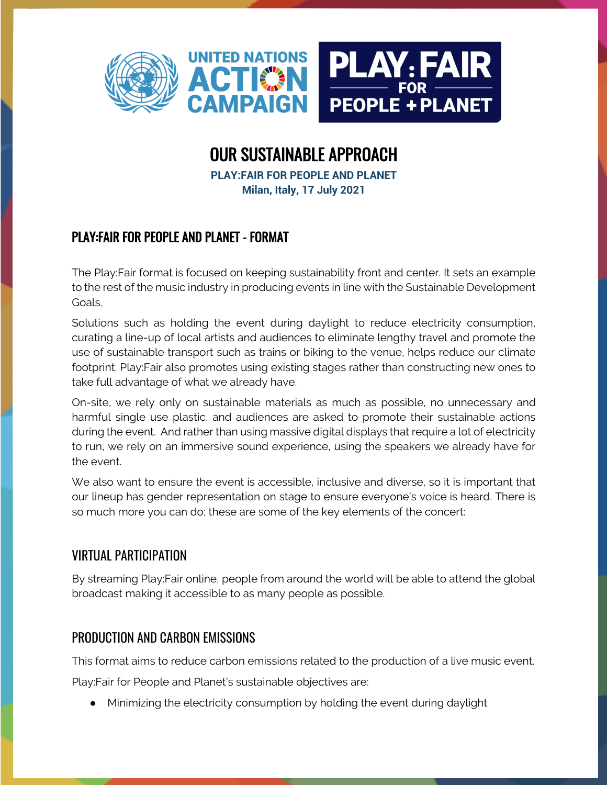

# OUR SUSTAINABLE APPROACH

**PLAY:FAIR FOR PEOPLE AND PLANET Milan, Italy, 17 July 2021**

## PLAY:FAIR FOR PEOPLE AND PLANET - FORMAT

The Play:Fair format is focused on keeping sustainability front and center. It sets an example to the rest of the music industry in producing events in line with the Sustainable Development Goals.

Solutions such as holding the event during daylight to reduce electricity consumption, curating a line-up of local artists and audiences to eliminate lengthy travel and promote the use of sustainable transport such as trains or biking to the venue, helps reduce our climate footprint. Play:Fair also promotes using existing stages rather than constructing new ones to take full advantage of what we already have.

On-site, we rely only on sustainable materials as much as possible, no unnecessary and harmful single use plastic, and audiences are asked to promote their sustainable actions during the event. And rather than using massive digital displays that require a lot of electricity to run, we rely on an immersive sound experience, using the speakers we already have for the event.

We also want to ensure the event is accessible, inclusive and diverse, so it is important that our lineup has gender representation on stage to ensure everyone's voice is heard. There is so much more you can do; these are some of the key elements of the concert:

## VIRTUAL PARTICIPATION

By streaming Play:Fair online, people from around the world will be able to attend the global broadcast making it accessible to as many people as possible.

#### PRODUCTION AND CARBON EMISSIONS

This format aims to reduce carbon emissions related to the production of a live music event.

Play:Fair for People and Planet's sustainable objectives are:

● Minimizing the electricity consumption by holding the event during daylight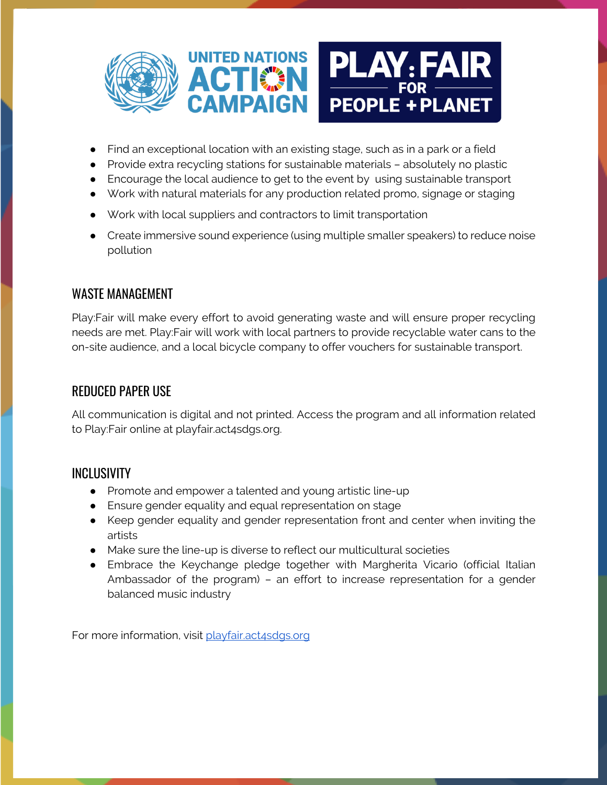

- Find an exceptional location with an existing stage, such as in a park or a field
- Provide extra recycling stations for sustainable materials absolutely no plastic
- Encourage the local audience to get to the event by using sustainable transport
- Work with natural materials for any production related promo, signage or staging
- Work with local suppliers and contractors to limit transportation
- Create immersive sound experience (using multiple smaller speakers) to reduce noise pollution

## WASTE MANAGEMENT

Play:Fair will make every effort to avoid generating waste and will ensure proper recycling needs are met. Play:Fair will work with local partners to provide recyclable water cans to the on-site audience, and a local bicycle company to offer vouchers for sustainable transport.

## REDUCED PAPER USE

All communication is digital and not printed. Access the program and all information related to Play:Fair online at playfair.act4sdgs.org.

## INCLUSIVITY

- Promote and empower a talented and young artistic line-up
- Ensure gender equality and equal representation on stage
- Keep gender equality and gender representation front and center when inviting the artists
- Make sure the line-up is diverse to reflect our multicultural societies
- Embrace the Keychange pledge together with Margherita Vicario (official Italian Ambassador of the program) – an effort to increase representation for a gender balanced music industry

For more information, visit playfair.act4sdgs.org